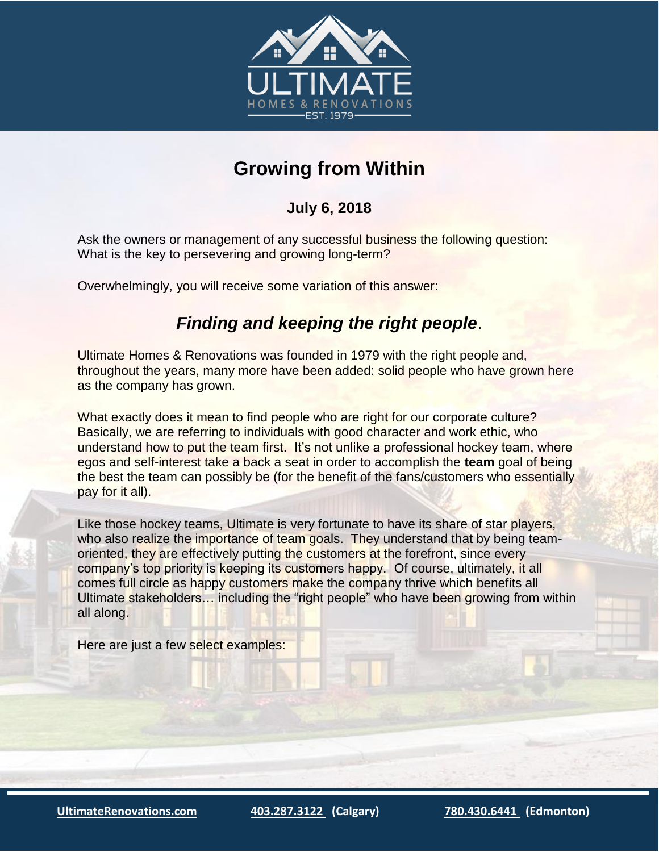

## **Growing from Within**

## **July 6, 2018**

Ask the owners or management of any successful business the following question: What is the key to persevering and growing long-term?

Overwhelmingly, you will receive some variation of this answer:

## *Finding and keeping the right people*.

Ultimate Homes & Renovations was founded in 1979 with the right people and, throughout the years, many more have been added: solid people who have grown here as the company has grown.

What exactly does it mean to find people who are right for our corporate culture? Basically, we are referring to individuals with good character and work ethic, who understand how to put the team first. It's not unlike a professional hockey team, where egos and self-interest take a back a seat in order to accomplish the **team** goal of being the best the team can possibly be (for the benefit of the fans/customers who essentially pay for it all).

Like those hockey teams, Ultimate is very fortunate to have its share of star players, who also realize the importance of team goals. They understand that by being teamoriented, they are effectively putting the customers at the forefront, since every company's top priority is keeping its customers happy. Of course, ultimately, it all comes full circle as happy customers make the company thrive which benefits all Ultimate stakeholders… including the "right people" who have been growing from within all along.

Here are just a few select examples:

**[UltimateRenovations.com](http://www.ultimaterenovations.com/) [403.287.3122](tel:(403)%20287-3122) (Calgary) [780.430.6441](tel:(780)%20430-6441) (Edmonton)**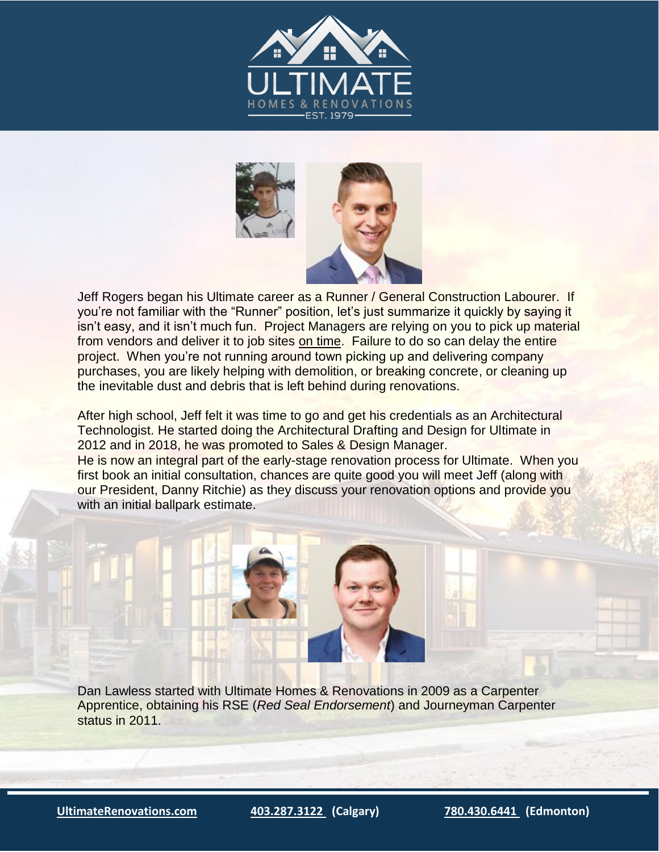



Jeff Rogers began his Ultimate career as a Runner / General Construction Labourer. If you're not familiar with the "Runner" position, let's just summarize it quickly by saying it isn't easy, and it isn't much fun. Project Managers are relying on you to pick up material from vendors and deliver it to job sites on time. Failure to do so can delay the entire project. When you're not running around town picking up and delivering company purchases, you are likely helping with demolition, or breaking concrete, or cleaning up the inevitable dust and debris that is left behind during renovations.

After high school, Jeff felt it was time to go and get his credentials as an Architectural Technologist. He started doing the Architectural Drafting and Design for Ultimate in 2012 and in 2018, he was promoted to Sales & Design Manager.

He is now an integral part of the early-stage renovation process for Ultimate. When you first book an initial consultation, chances are quite good you will meet Jeff (along with our President, Danny Ritchie) as they discuss your renovation options and provide you with an initial ballpark estimate.

Dan Lawless started with Ultimate Homes & Renovations in 2009 as a Carpenter Apprentice, obtaining his RSE (*Red Seal Endorsement*) and Journeyman Carpenter status in 2011.

**[UltimateRenovations.com](http://www.ultimaterenovations.com/) [403.287.3122](tel:(403)%20287-3122) (Calgary) [780.430.6441](tel:(780)%20430-6441) (Edmonton)**